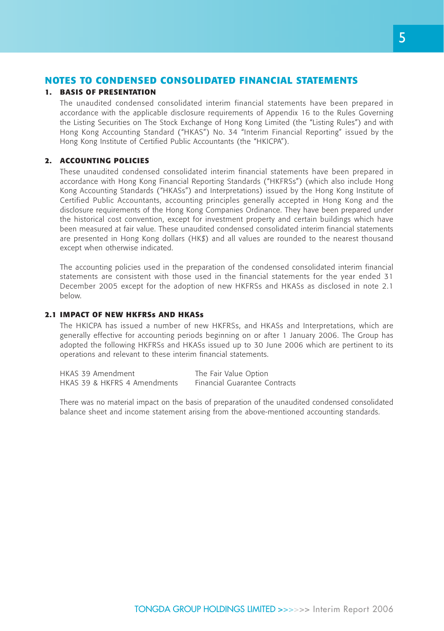# **NOTES TO CONDENSED CONSOLIDATED FINANCIAL STATEMENTS**

### **1. BASIS OF PRESENTATION**

The unaudited condensed consolidated interim financial statements have been prepared in accordance with the applicable disclosure requirements of Appendix 16 to the Rules Governing the Listing Securities on The Stock Exchange of Hong Kong Limited (the "Listing Rules") and with Hong Kong Accounting Standard ("HKAS") No. 34 "Interim Financial Reporting" issued by the Hong Kong Institute of Certified Public Accountants (the "HKICPA").

# **2. ACCOUNTING POLICIES**

These unaudited condensed consolidated interim financial statements have been prepared in accordance with Hong Kong Financial Reporting Standards ("HKFRSs") (which also include Hong Kong Accounting Standards ("HKASs") and Interpretations) issued by the Hong Kong Institute of Certified Public Accountants, accounting principles generally accepted in Hong Kong and the disclosure requirements of the Hong Kong Companies Ordinance. They have been prepared under the historical cost convention, except for investment property and certain buildings which have been measured at fair value. These unaudited condensed consolidated interim financial statements are presented in Hong Kong dollars (HK\$) and all values are rounded to the nearest thousand except when otherwise indicated.

The accounting policies used in the preparation of the condensed consolidated interim financial statements are consistent with those used in the financial statements for the year ended 31 December 2005 except for the adoption of new HKFRSs and HKASs as disclosed in note 2.1 below.

# **2.1 IMPACT OF NEW HKFRSs AND HKASs**

The HKICPA has issued a number of new HKFRSs, and HKASs and Interpretations, which are generally effective for accounting periods beginning on or after 1 January 2006. The Group has adopted the following HKFRSs and HKASs issued up to 30 June 2006 which are pertinent to its operations and relevant to these interim financial statements.

| HKAS 39 Amendment            | The Fair Value Option         |
|------------------------------|-------------------------------|
| HKAS 39 & HKFRS 4 Amendments | Financial Guarantee Contracts |

There was no material impact on the basis of preparation of the unaudited condensed consolidated balance sheet and income statement arising from the above-mentioned accounting standards.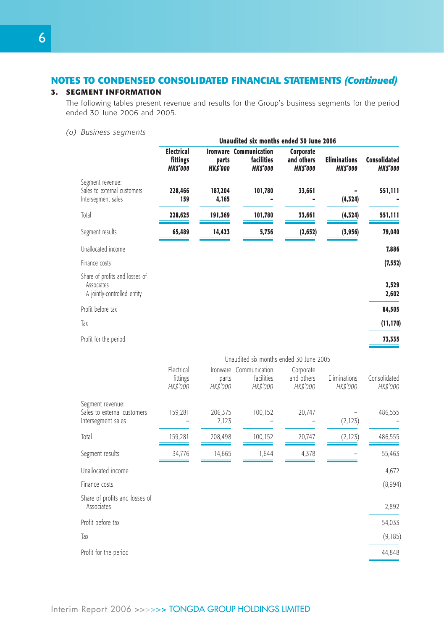# **3. SEGMENT INFORMATION**

The following tables present revenue and results for the Group's business segments for the period ended 30 June 2006 and 2005.

*(a) Business segments*

|                                                                             |                                                 |                         | Unaudited six months ended 30 June 2006                       |                                           |                                       |                                       |
|-----------------------------------------------------------------------------|-------------------------------------------------|-------------------------|---------------------------------------------------------------|-------------------------------------------|---------------------------------------|---------------------------------------|
|                                                                             | <b>Electrical</b><br>fittings<br><b>HKS'000</b> | parts<br><b>HKS'000</b> | <b>Ironware Communication</b><br>facilities<br><b>HKS'000</b> | Corporate<br>and others<br><b>HKS'000</b> | <b>Eliminations</b><br><b>HKS'000</b> | <b>Consolidated</b><br><b>HKS'000</b> |
| Segment revenue:<br>Sales to external customers<br>Intersegment sales       | 228,466<br>159                                  | 187,204<br>4,165        | 101,780                                                       | 33,661                                    | (4,324)                               | 551,111                               |
| Total                                                                       | 228,625                                         | 191,369                 | 101,780                                                       | 33,661                                    | (4, 324)                              | 551,111                               |
| Segment results                                                             | 65,489                                          | 14,423                  | 5,736                                                         | (2, 652)                                  | (3,956)                               | 79,040                                |
| Unallocated income                                                          |                                                 |                         |                                                               |                                           |                                       | 7,886                                 |
| Finance costs                                                               |                                                 |                         |                                                               |                                           |                                       | (7, 552)                              |
| Share of profits and losses of<br>Associates<br>A jointly-controlled entity |                                                 |                         |                                                               |                                           |                                       | 2,529<br>2,602                        |
| Profit before tax                                                           |                                                 |                         |                                                               |                                           |                                       | 84,505                                |
| Tax                                                                         |                                                 |                         |                                                               |                                           |                                       | (11, 170)                             |
| Profit for the period                                                       |                                                 |                         |                                                               |                                           |                                       | 73,335                                |
|                                                                             |                                                 |                         |                                                               |                                           |                                       |                                       |

|                                                                       | Unaudited six months ended 30 June 2005 |                               |                                         |                                     |                          |                          |  |
|-----------------------------------------------------------------------|-----------------------------------------|-------------------------------|-----------------------------------------|-------------------------------------|--------------------------|--------------------------|--|
|                                                                       | Electrical<br>fittings<br>HK\$'000      | Ironware<br>parts<br>HK\$'000 | Communication<br>facilities<br>HK\$'000 | Corporate<br>and others<br>HK\$'000 | Eliminations<br>HK\$'000 | Consolidated<br>HK\$'000 |  |
| Segment revenue:<br>Sales to external customers<br>Intersegment sales | 159,281                                 | 206,375<br>2,123              | 100,152                                 | 20,747                              | (2, 123)                 | 486,555                  |  |
| Total                                                                 | 159,281                                 | 208,498                       | 100,152                                 | 20,747                              | (2, 123)                 | 486,555                  |  |
| Segment results                                                       | 34,776                                  | 14,665                        | 1,644                                   | 4,378                               |                          | 55,463                   |  |
| Unallocated income                                                    |                                         |                               |                                         |                                     |                          | 4,672                    |  |
| Finance costs                                                         |                                         |                               |                                         |                                     |                          | (8,994)                  |  |
| Share of profits and losses of<br>Associates                          |                                         |                               |                                         |                                     |                          | 2,892                    |  |
| Profit before tax                                                     |                                         |                               |                                         |                                     |                          | 54,033                   |  |
| Tax                                                                   |                                         |                               |                                         |                                     |                          | (9, 185)                 |  |
| Profit for the period                                                 |                                         |                               |                                         |                                     |                          | 44,848                   |  |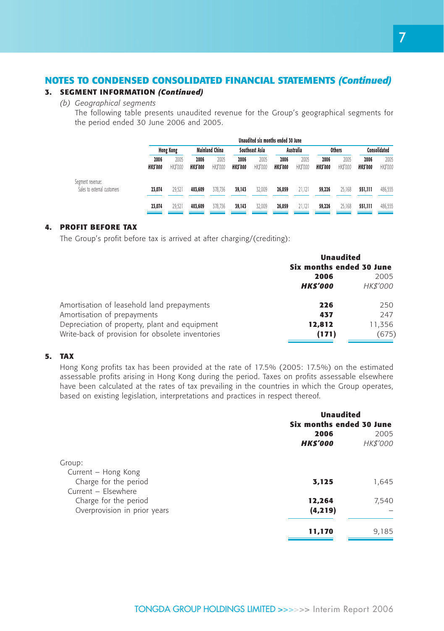# **3. SEGMENT INFORMATION** *(Continued)*

*(b) Geographical segments*

The following table presents unaudited revenue for the Group's geographical segments for the period ended 30 June 2006 and 2005.

|                                                 |                        |                  |                        |                       |                        |                       | Unaudited six months ended 30 June |                  |                        |                  |                        |                  |
|-------------------------------------------------|------------------------|------------------|------------------------|-----------------------|------------------------|-----------------------|------------------------------------|------------------|------------------------|------------------|------------------------|------------------|
|                                                 |                        | <b>Hong Kong</b> |                        | <b>Mainland China</b> |                        | <b>Southeast Asia</b> |                                    | Australia        |                        | <b>Others</b>    |                        | Consolidated     |
|                                                 | 2006<br><b>HKS'000</b> | 2005<br>HK\$'000 | 2006<br><b>HKS'000</b> | 2005<br>HK\$'000      | 2006<br><b>HKS'000</b> | 2005<br>HK\$'000      | 2006<br><b>HKS'000</b>             | 2005<br>HK\$'000 | 2006<br><b>HKS'000</b> | 2005<br>HK\$'000 | 2006<br><b>HKS'000</b> | 2005<br>HK\$'000 |
| Segment revenue:<br>Sales to external customers | 23,074                 | 29.521           | 403,609                | 378.736               | 39,143                 | 32.009                | 26,059                             | 21.121           | 59,226                 | 25.168           | 551.111                | 486,555          |
|                                                 | 23.074                 | 29.521           | 403,609                | 378.736               | 39,143                 | 32.009                | 26,059                             | 21.121           | 59,226                 | 25.168           | 551.111                | 486.555          |

### **4. PROFIT BEFORE TAX**

The Group's profit before tax is arrived at after charging/(crediting):

|                                                  | <b>Unaudited</b><br>Six months ended 30 June |          |  |
|--------------------------------------------------|----------------------------------------------|----------|--|
|                                                  | 2005<br>2006                                 |          |  |
|                                                  | <b>HKS'000</b>                               | HK\$'000 |  |
| Amortisation of leasehold land prepayments       | 226                                          | 250      |  |
| Amortisation of prepayments                      | 437                                          | 247      |  |
| Depreciation of property, plant and equipment    | 12,812                                       | 11,356   |  |
| Write-back of provision for obsolete inventories | (171)                                        | (675)    |  |

# **5. TAX**

Hong Kong profits tax has been provided at the rate of 17.5% (2005: 17.5%) on the estimated assessable profits arising in Hong Kong during the period. Taxes on profits assessable elsewhere have been calculated at the rates of tax prevailing in the countries in which the Group operates, based on existing legislation, interpretations and practices in respect thereof.

|                              | <b>Unaudited</b>         |                  |  |
|------------------------------|--------------------------|------------------|--|
|                              | Six months ended 30 June |                  |  |
|                              | 2006<br><b>HKS'000</b>   | 2005<br>HK\$'000 |  |
| Group:                       |                          |                  |  |
| Current - Hong Kong          |                          |                  |  |
| Charge for the period        | 3,125                    | 1,645            |  |
| Current - Elsewhere          |                          |                  |  |
| Charge for the period        | 12,264                   | 7,540            |  |
| Overprovision in prior years | (4, 219)                 |                  |  |
|                              | 11,170                   | 9,185            |  |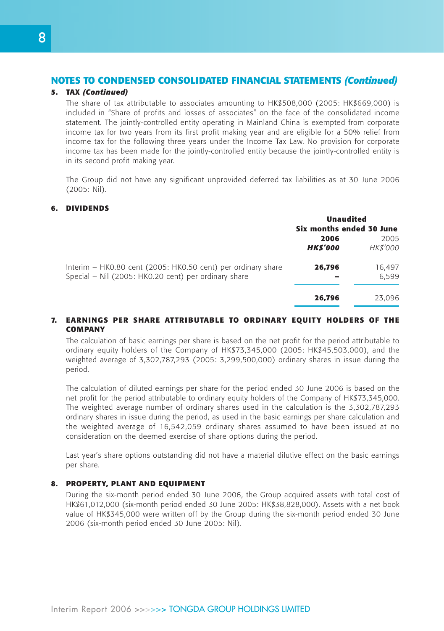#### **5. TAX** *(Continued)*

The share of tax attributable to associates amounting to HK\$508,000 (2005: HK\$669,000) is included in "Share of profits and losses of associates" on the face of the consolidated income statement. The jointly-controlled entity operating in Mainland China is exempted from corporate income tax for two years from its first profit making year and are eligible for a 50% relief from income tax for the following three years under the Income Tax Law. No provision for corporate income tax has been made for the jointly-controlled entity because the jointly-controlled entity is in its second profit making year.

The Group did not have any significant unprovided deferred tax liabilities as at 30 June 2006 (2005: Nil).

#### **6. DIVIDENDS**

|                                                              | <b>Unaudited</b><br>Six months ended 30 June |          |  |
|--------------------------------------------------------------|----------------------------------------------|----------|--|
|                                                              | 2006                                         | 2005     |  |
|                                                              | <b>HKS'000</b>                               | HK\$'000 |  |
| Interim - HK0.80 cent (2005: HK0.50 cent) per ordinary share | 26,796                                       | 16,497   |  |
| Special - Nil (2005: HK0.20 cent) per ordinary share         |                                              | 6.599    |  |
|                                                              | 26,796                                       | 23.096   |  |

#### **7. EARNINGS PER SHARE ATTRIBUTABLE TO ORDINARY EQUITY HOLDERS OF THE COMPANY**

The calculation of basic earnings per share is based on the net profit for the period attributable to ordinary equity holders of the Company of HK\$73,345,000 (2005: HK\$45,503,000), and the weighted average of 3,302,787,293 (2005: 3,299,500,000) ordinary shares in issue during the period.

The calculation of diluted earnings per share for the period ended 30 June 2006 is based on the net profit for the period attributable to ordinary equity holders of the Company of HK\$73,345,000. The weighted average number of ordinary shares used in the calculation is the 3,302,787,293 ordinary shares in issue during the period, as used in the basic earnings per share calculation and the weighted average of 16,542,059 ordinary shares assumed to have been issued at no consideration on the deemed exercise of share options during the period.

Last year's share options outstanding did not have a material dilutive effect on the basic earnings per share.

#### **8. PROPERTY, PLANT AND EQUIPMENT**

During the six-month period ended 30 June 2006, the Group acquired assets with total cost of HK\$61,012,000 (six-month period ended 30 June 2005: HK\$38,828,000). Assets with a net book value of HK\$345,000 were written off by the Group during the six-month period ended 30 June 2006 (six-month period ended 30 June 2005: Nil).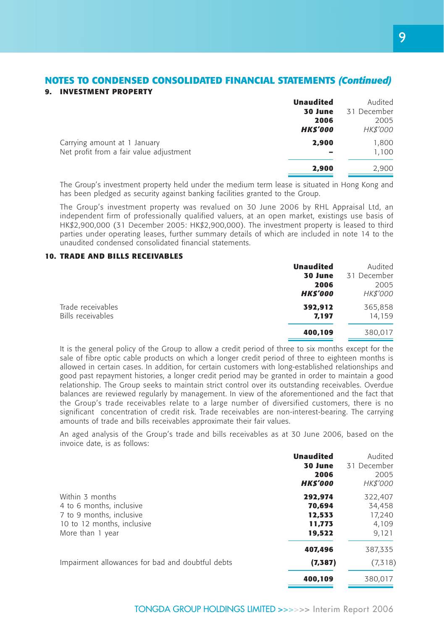#### **NOTES TO CONDENSED CONSOLIDATED FINANCIAL STATEMENTS** *(Continued)* **9. INVESTMENT PROPERTY**

|                                         | <b>Unaudited</b> | Audited     |
|-----------------------------------------|------------------|-------------|
|                                         | 30 June          | 31 December |
|                                         | 2006             | 2005        |
|                                         | <b>HKS'000</b>   | HK\$'000    |
| Carrying amount at 1 January            | 2,900            | 1,800       |
| Net profit from a fair value adjustment |                  | 1,100       |
|                                         | 2,900            | 2,900       |

The Group's investment property held under the medium term lease is situated in Hong Kong and has been pledged as security against banking facilities granted to the Group.

The Group's investment property was revalued on 30 June 2006 by RHL Appraisal Ltd, an independent firm of professionally qualified valuers, at an open market, existings use basis of HK\$2,900,000 (31 December 2005: HK\$2,900,000). The investment property is leased to third parties under operating leases, further summary details of which are included in note 14 to the unaudited condensed consolidated financial statements.

#### **10. TRADE AND BILLS RECEIVABLES**

|                                        | <b>Unaudited</b>       | Audited                 |
|----------------------------------------|------------------------|-------------------------|
|                                        | 30 June                | 31 December             |
|                                        | 2006<br><b>HKS'000</b> | 2005<br><b>HK\$'000</b> |
| Trade receivables<br>Bills receivables | 392.912<br>7,197       | 365,858<br>14.159       |
|                                        | 400,109                | 380,017                 |

It is the general policy of the Group to allow a credit period of three to six months except for the sale of fibre optic cable products on which a longer credit period of three to eighteen months is allowed in certain cases. In addition, for certain customers with long-established relationships and good past repayment histories, a longer credit period may be granted in order to maintain a good relationship. The Group seeks to maintain strict control over its outstanding receivables. Overdue balances are reviewed regularly by management. In view of the aforementioned and the fact that the Group's trade receivables relate to a large number of diversified customers, there is no significant concentration of credit risk. Trade receivables are non-interest-bearing. The carrying amounts of trade and bills receivables approximate their fair values.

An aged analysis of the Group's trade and bills receivables as at 30 June 2006, based on the invoice date, is as follows:

|                                                  | <b>Unaudited</b> | Audited         |
|--------------------------------------------------|------------------|-----------------|
|                                                  | 30 June          | 31 December     |
|                                                  | 2006             | 2005            |
|                                                  | <b>HKS'000</b>   | <i>HK\$'000</i> |
| Within 3 months                                  | 292.974          | 322,407         |
| 4 to 6 months, inclusive                         | 70,694           | 34,458          |
| 7 to 9 months, inclusive                         | 12,533           | 17,240          |
| 10 to 12 months, inclusive                       | 11.773           | 4,109           |
| More than 1 year                                 | 19,522           | 9,121           |
|                                                  | 407,496          | 387,335         |
| Impairment allowances for bad and doubtful debts | (7,387)          | (7,318)         |
|                                                  | 400,109          | 380.017         |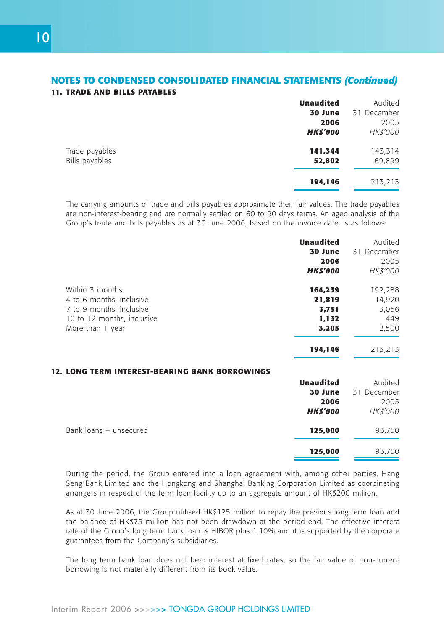# **NOTES TO CONDENSED CONSOLIDATED FINANCIAL STATEMENTS** *(Continued)* **11. TRADE AND BILLS PAYABLES**

|                | <b>Unaudited</b> | Audited     |
|----------------|------------------|-------------|
|                | 30 June          | 31 December |
|                | 2006             | 2005        |
|                | <b>HKS'000</b>   | HK\$'000    |
| Trade payables | 141,344          | 143,314     |
| Bills payables | 52,802           | 69,899      |
|                | 194,146          | 213,213     |

The carrying amounts of trade and bills payables approximate their fair values. The trade payables are non-interest-bearing and are normally settled on 60 to 90 days terms. An aged analysis of the Group's trade and bills payables as at 30 June 2006, based on the invoice date, is as follows:

|                            | <b>Unaudited</b> | Audited     |
|----------------------------|------------------|-------------|
|                            | 30 June          | 31 December |
|                            | 2006             | 2005        |
|                            | <b>HKS'000</b>   | HK\$'000    |
| Within 3 months            | 164,239          | 192,288     |
| 4 to 6 months, inclusive   | 21,819           | 14,920      |
| 7 to 9 months, inclusive   | 3,751            | 3,056       |
| 10 to 12 months, inclusive | 1.132            | 449         |
| More than 1 year           | 3.205            | 2,500       |
|                            | 194.146          | 213,213     |
|                            |                  |             |

# **12. LONG TERM INTEREST-BEARING BANK BORROWINGS**

|                        | <b>Unaudited</b> | Audited         |
|------------------------|------------------|-----------------|
|                        | 30 June          | 31 December     |
|                        | 2006             | 2005            |
|                        | <b>HKS'000</b>   | <b>HK\$'000</b> |
| Bank loans - unsecured | 125,000          | 93,750          |
|                        | 125,000          | 93,750          |

During the period, the Group entered into a loan agreement with, among other parties, Hang Seng Bank Limited and the Hongkong and Shanghai Banking Corporation Limited as coordinating arrangers in respect of the term loan facility up to an aggregate amount of HK\$200 million.

As at 30 June 2006, the Group utilised HK\$125 million to repay the previous long term loan and the balance of HK\$75 million has not been drawdown at the period end. The effective interest rate of the Group's long term bank loan is HIBOR plus 1.10% and it is supported by the corporate guarantees from the Company's subsidiaries.

The long term bank loan does not bear interest at fixed rates, so the fair value of non-current borrowing is not materially different from its book value.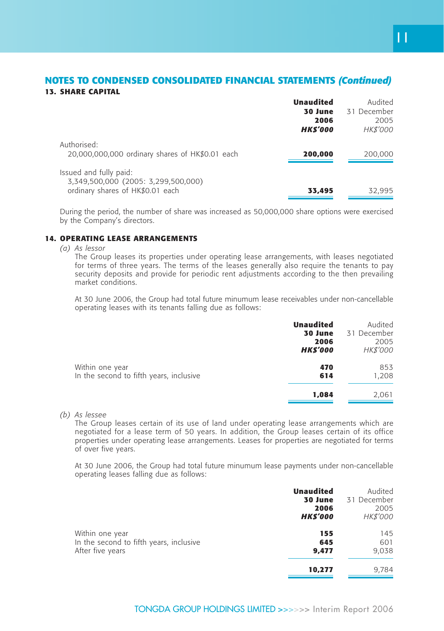# **NOTES TO CONDENSED CONSOLIDATED FINANCIAL STATEMENTS** *(Continued)* **13. SHARE CAPITAL**

|                                                                | <b>Unaudited</b> | Audited         |
|----------------------------------------------------------------|------------------|-----------------|
|                                                                | 30 June          | 31 December     |
|                                                                | 2006             | 2005            |
|                                                                | <b>HKS'000</b>   | <b>HK\$'000</b> |
| Authorised:<br>20,000,000,000 ordinary shares of HK\$0.01 each | 200,000          | 200,000         |
| Issued and fully paid:<br>3,349,500,000 (2005: 3,299,500,000)  |                  |                 |
| ordinary shares of HK\$0.01 each                               | 33,495           | 32,995          |

During the period, the number of share was increased as 50,000,000 share options were exercised by the Company's directors.

#### **14. OPERATING LEASE ARRANGEMENTS**

*(a) As lessor*

The Group leases its properties under operating lease arrangements, with leases negotiated for terms of three years. The terms of the leases generally also require the tenants to pay security deposits and provide for periodic rent adjustments according to the then prevailing market conditions.

At 30 June 2006, the Group had total future minumum lease receivables under non-cancellable operating leases with its tenants falling due as follows:

|                                                            | <b>Unaudited</b><br>30 June<br>2006<br><b>HKS'000</b> | Audited<br>31 December<br>2005<br><i>HK\$'000</i> |
|------------------------------------------------------------|-------------------------------------------------------|---------------------------------------------------|
| Within one year<br>In the second to fifth years, inclusive | 470<br>614                                            | 853<br>1,208                                      |
|                                                            | 1,084                                                 | 2,061                                             |

*(b) As lessee*

The Group leases certain of its use of land under operating lease arrangements which are negotiated for a lease term of 50 years. In addition, the Group leases certain of its office properties under operating lease arrangements. Leases for properties are negotiated for terms of over five years.

At 30 June 2006, the Group had total future minumum lease payments under non-cancellable operating leases falling due as follows:

|                                         | <b>Unaudited</b><br>30 June<br>2006<br><b>HKS'000</b> | Audited<br>31 December<br>2005<br><i>HK\$'000</i> |
|-----------------------------------------|-------------------------------------------------------|---------------------------------------------------|
| Within one year                         | 155                                                   | 145                                               |
| In the second to fifth years, inclusive | 645                                                   | 601                                               |
| After five years                        | 9,477                                                 | 9,038                                             |
|                                         | 10,277                                                | 9.784                                             |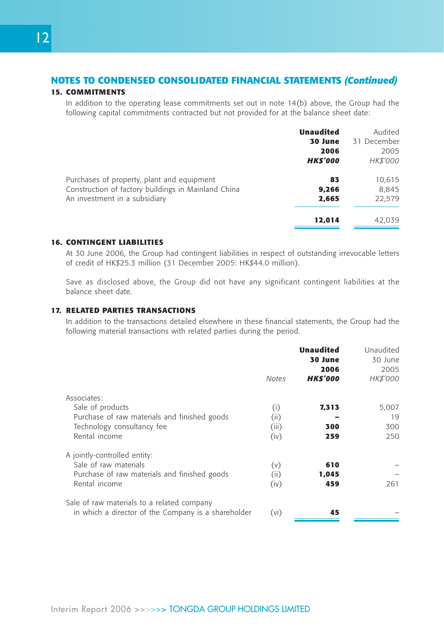# **15. COMMITMENTS**

In addition to the operating lease commitments set out in note 14(b) above, the Group had the following capital commitments contracted but not provided for at the balance sheet date:

|                                                     | <b>Unaudited</b><br>30 June<br>2006<br><b>HKS'000</b> | Audited<br>31 December<br>2005<br><b>HK\$'000</b> |
|-----------------------------------------------------|-------------------------------------------------------|---------------------------------------------------|
| Purchases of property, plant and equipment          | 83                                                    | 10,615                                            |
| Construction of factory buildings in Mainland China | 9,266                                                 | 8.845                                             |
| An investment in a subsidiary                       | 2,665                                                 | 22.579                                            |
|                                                     | 12,014                                                | 42.039                                            |

#### **16. CONTINGENT LIABILITIES**

At 30 June 2006, the Group had contingent liabilities in respect of outstanding irrevocable letters of credit of HK\$25.3 million (31 December 2005: HK\$44.0 million).

Save as disclosed above, the Group did not have any significant contingent liabilities at the balance sheet date.

### **17. RELATED PARTIES TRANSACTIONS**

In addition to the transactions detailed elsewhere in these financial statements, the Group had the following material transactions with related parties during the period.

|                                                     | <b>Notes</b> | <b>Unaudited</b><br>30 June<br>2006<br><b>HKS'000</b> | Unaudited<br>30 June<br>2005<br>HK\$'000 |
|-----------------------------------------------------|--------------|-------------------------------------------------------|------------------------------------------|
| Associates:                                         |              |                                                       |                                          |
| Sale of products                                    | (i)          | 7,313                                                 | 5,007                                    |
| Purchase of raw materials and finished goods        | (ii)         |                                                       | 19                                       |
| Technology consultancy fee                          | (iii)        | 300                                                   | 300                                      |
| Rental income                                       | (iv)         | 259                                                   | 250                                      |
| A jointly-controlled entity:                        |              |                                                       |                                          |
| Sale of raw materials                               | (v)          | 610                                                   |                                          |
| Purchase of raw materials and finished goods        | (ii)         | 1,045                                                 |                                          |
| Rental income                                       | (iv)         | 459                                                   | 261                                      |
| Sale of raw materials to a related company          |              |                                                       |                                          |
| in which a director of the Company is a shareholder | (vi)         | 45                                                    |                                          |